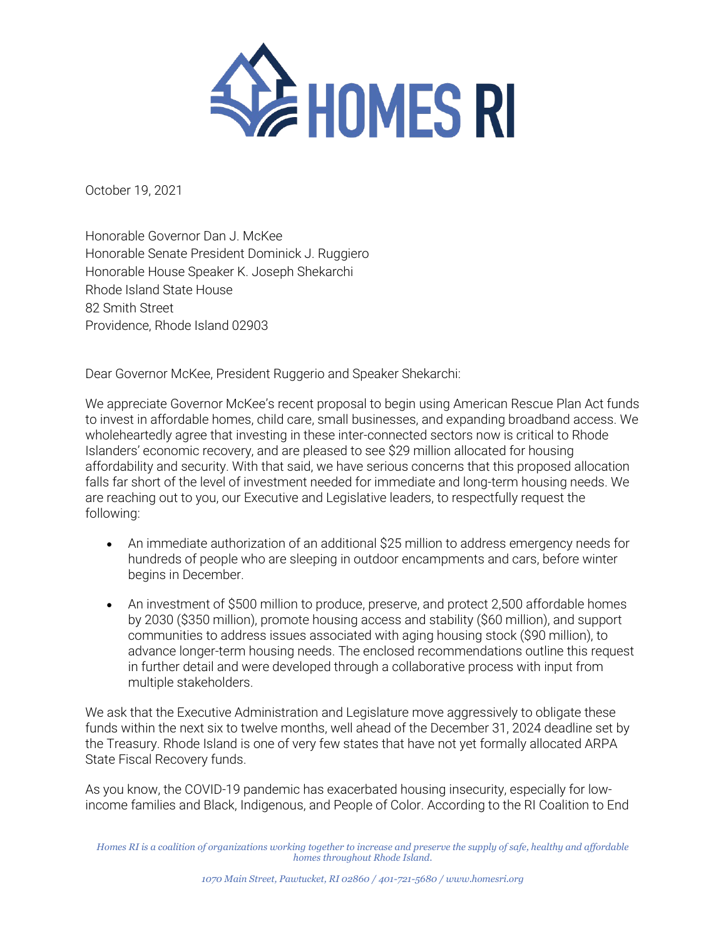

October 19, 2021

Honorable Governor Dan J. McKee Honorable Senate President Dominick J. Ruggiero Honorable House Speaker K. Joseph Shekarchi Rhode Island State House 82 Smith Street Providence, Rhode Island 02903

Dear Governor McKee, President Ruggerio and Speaker Shekarchi:

We appreciate Governor McKee's recent proposal to begin using American Rescue Plan Act funds to invest in affordable homes, child care, small businesses, and expanding broadband access. We wholeheartedly agree that investing in these inter-connected sectors now is critical to Rhode Islanders' economic recovery, and are pleased to see \$29 million allocated for housing affordability and security. With that said, we have serious concerns that this proposed allocation falls far short of the level of investment needed for immediate and long-term housing needs. We are reaching out to you, our Executive and Legislative leaders, to respectfully request the following:

- An immediate authorization of an additional \$25 million to address emergency needs for hundreds of people who are sleeping in outdoor encampments and cars, before winter begins in December.
- An investment of \$500 million to produce, preserve, and protect 2,500 affordable homes by 2030 (\$350 million), promote housing access and stability (\$60 million), and support communities to address issues associated with aging housing stock (\$90 million), to advance longer-term housing needs. The enclosed recommendations outline this request in further detail and were developed through a collaborative process with input from multiple stakeholders.

We ask that the Executive Administration and Legislature move aggressively to obligate these funds within the next six to twelve months, well ahead of the December 31, 2024 deadline set by the Treasury. Rhode Island is one of very few states that have not yet formally allocated ARPA State Fiscal Recovery funds.

As you know, the COVID-19 pandemic has exacerbated housing insecurity, especially for lowincome families and Black, Indigenous, and People of Color. According to the RI Coalition to End

*Homes RI is a coalition of organizations working together to increase and preserve the supply of safe, healthy and affordable homes throughout Rhode Island.*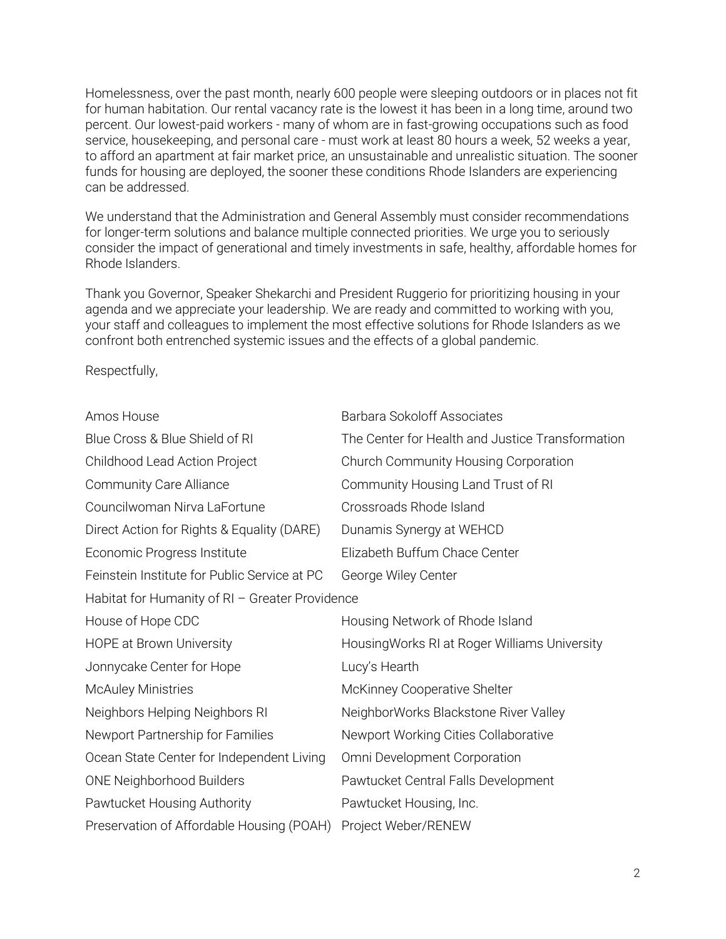Homelessness, over the past month, nearly 600 people were sleeping outdoors or in places not fit for human habitation. Our rental vacancy rate is the lowest it has been in a long time, around two percent. Our lowest-paid workers - many of whom are in fast-growing occupations such as food service, housekeeping, and personal care - must work at least 80 hours a week, 52 weeks a year, to afford an apartment at fair market price, an unsustainable and unrealistic situation. The sooner funds for housing are deployed, the sooner these conditions Rhode Islanders are experiencing can be addressed.

We understand that the Administration and General Assembly must consider recommendations for longer-term solutions and balance multiple connected priorities. We urge you to seriously consider the impact of generational and timely investments in safe, healthy, affordable homes for Rhode Islanders.

Thank you Governor, Speaker Shekarchi and President Ruggerio for prioritizing housing in your agenda and we appreciate your leadership. We are ready and committed to working with you, your staff and colleagues to implement the most effective solutions for Rhode Islanders as we confront both entrenched systemic issues and the effects of a global pandemic.

Respectfully,

| Amos House                                      | <b>Barbara Sokoloff Associates</b>               |
|-------------------------------------------------|--------------------------------------------------|
| Blue Cross & Blue Shield of RI                  | The Center for Health and Justice Transformation |
| Childhood Lead Action Project                   | Church Community Housing Corporation             |
| <b>Community Care Alliance</b>                  | Community Housing Land Trust of RI               |
| Councilwoman Nirva LaFortune                    | Crossroads Rhode Island                          |
| Direct Action for Rights & Equality (DARE)      | Dunamis Synergy at WEHCD                         |
| Economic Progress Institute                     | Elizabeth Buffum Chace Center                    |
| Feinstein Institute for Public Service at PC    | George Wiley Center                              |
| Habitat for Humanity of RI - Greater Providence |                                                  |
| House of Hope CDC                               | Housing Network of Rhode Island                  |
| <b>HOPE at Brown University</b>                 | Housing Works RI at Roger Williams University    |
| Jonnycake Center for Hope                       | Lucy's Hearth                                    |
| <b>McAuley Ministries</b>                       | McKinney Cooperative Shelter                     |
| Neighbors Helping Neighbors RI                  | NeighborWorks Blackstone River Valley            |
| Newport Partnership for Families                | Newport Working Cities Collaborative             |
| Ocean State Center for Independent Living       | Omni Development Corporation                     |
| <b>ONE Neighborhood Builders</b>                | Pawtucket Central Falls Development              |
| Pawtucket Housing Authority                     | Pawtucket Housing, Inc.                          |
| Preservation of Affordable Housing (POAH)       | Project Weber/RENEW                              |